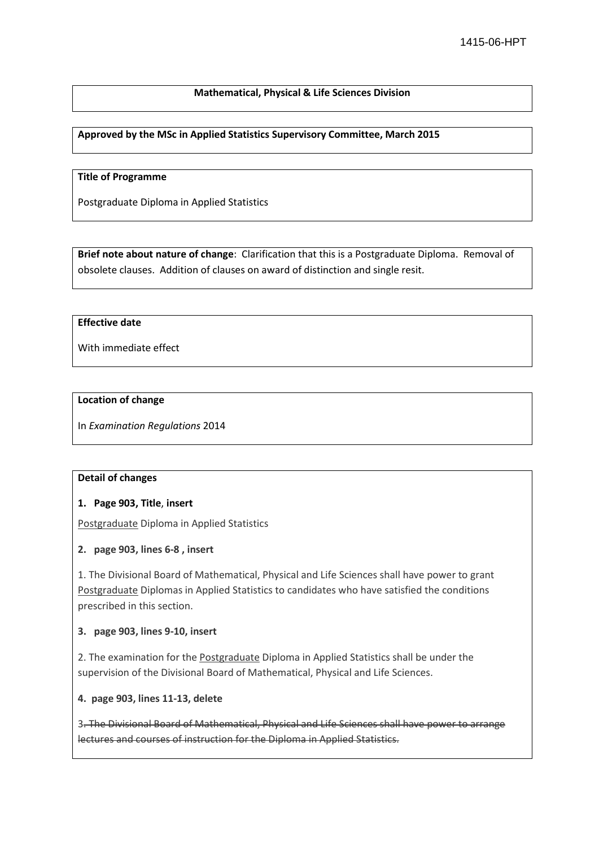## **Mathematical, Physical & Life Sciences Division**

**Approved by the MSc in Applied Statistics Supervisory Committee, March 2015**

#### **Title of Programme**

Postgraduate Diploma in Applied Statistics

**Brief note about nature of change**: Clarification that this is a Postgraduate Diploma. Removal of obsolete clauses. Addition of clauses on award of distinction and single resit.

#### **Effective date**

With immediate effect

#### **Location of change**

In *Examination Regulations* 2014

### **Detail of changes**

### **1. Page 903, Title**, **insert**

Postgraduate Diploma in Applied Statistics

### **2. page 903, lines 6-8 , insert**

1. The Divisional Board of Mathematical, Physical and Life Sciences shall have power to grant Postgraduate Diplomas in Applied Statistics to candidates who have satisfied the conditions prescribed in this section.

### **3. page 903, lines 9-10, insert**

2. The examination for the Postgraduate Diploma in Applied Statistics shall be under the supervision of the Divisional Board of Mathematical, Physical and Life Sciences.

**4. page 903, lines 11-13, delete**

3. The Divisional Board of Mathematical, Physical and Life Sciences shall have power to arrange lectures and courses of instruction for the Diploma in Applied Statistics.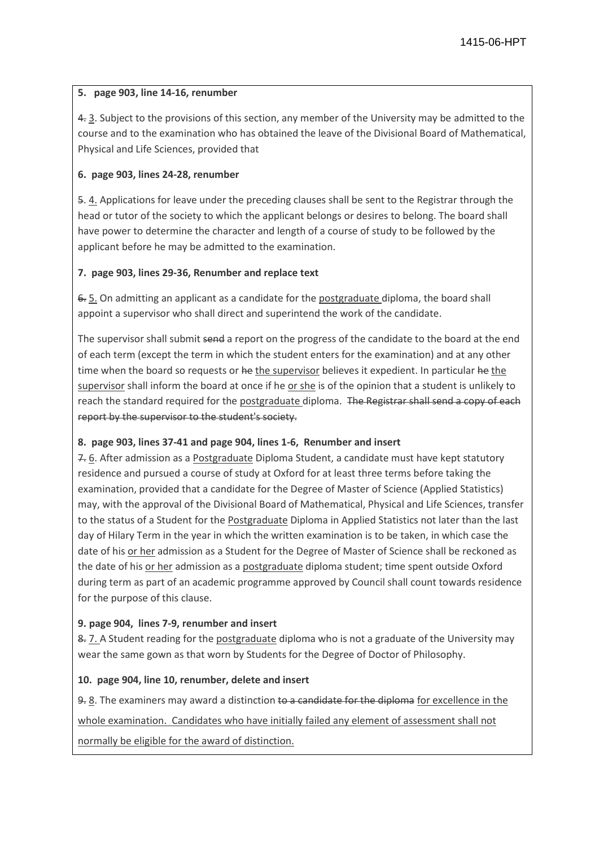# **5. page 903, line 14-16, renumber**

4. 3. Subject to the provisions of this section, any member of the University may be admitted to the course and to the examination who has obtained the leave of the Divisional Board of Mathematical, Physical and Life Sciences, provided that

# **6. page 903, lines 24-28, renumber**

5. 4. Applications for leave under the preceding clauses shall be sent to the Registrar through the head or tutor of the society to which the applicant belongs or desires to belong. The board shall have power to determine the character and length of a course of study to be followed by the applicant before he may be admitted to the examination.

## **7. page 903, lines 29-36, Renumber and replace text**

6. 5. On admitting an applicant as a candidate for the postgraduate diploma, the board shall appoint a supervisor who shall direct and superintend the work of the candidate.

The supervisor shall submit send a report on the progress of the candidate to the board at the end of each term (except the term in which the student enters for the examination) and at any other time when the board so requests or he the supervisor believes it expedient. In particular he the supervisor shall inform the board at once if he or she is of the opinion that a student is unlikely to reach the standard required for the postgraduate diploma. The Registrar shall send a copy of each report by the supervisor to the student's society.

# **8. page 903, lines 37-41 and page 904, lines 1-6, Renumber and insert**

7. 6. After admission as a Postgraduate Diploma Student, a candidate must have kept statutory residence and pursued a course of study at Oxford for at least three terms before taking the examination, provided that a candidate for the Degree of Master of Science (Applied Statistics) may, with the approval of the Divisional Board of Mathematical, Physical and Life Sciences, transfer to the status of a Student for the Postgraduate Diploma in Applied Statistics not later than the last day of Hilary Term in the year in which the written examination is to be taken, in which case the date of his or her admission as a Student for the Degree of Master of Science shall be reckoned as the date of his or her admission as a postgraduate diploma student; time spent outside Oxford during term as part of an academic programme approved by Council shall count towards residence for the purpose of this clause.

# **9. page 904, lines 7-9, renumber and insert**

8. 7. A Student reading for the postgraduate diploma who is not a graduate of the University may wear the same gown as that worn by Students for the Degree of Doctor of Philosophy.

### **10. page 904, line 10, renumber, delete and insert**

9. 8. The examiners may award a distinction to a candidate for the diploma for excellence in the whole examination. Candidates who have initially failed any element of assessment shall not normally be eligible for the award of distinction.